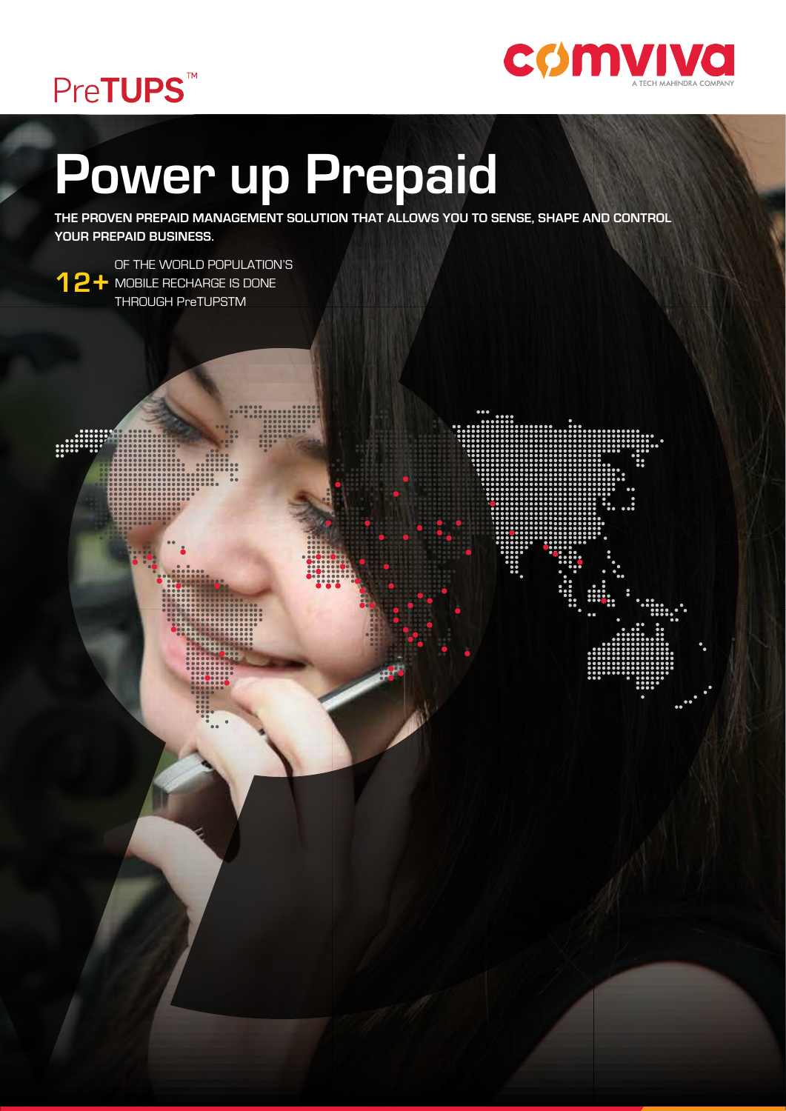



# **Power up Prepaid**

**THE PROVEN PREPAID MANAGEMENT SOLUTION THAT ALLOWS YOU TO SENSE, SHAPE AND CONTROL YOUR PREPAID BUSINESS.**

**12+** MOBILE RECHARGE IS DONE OF THE WORLD POPULATION'S THROUGH PreTUPSTM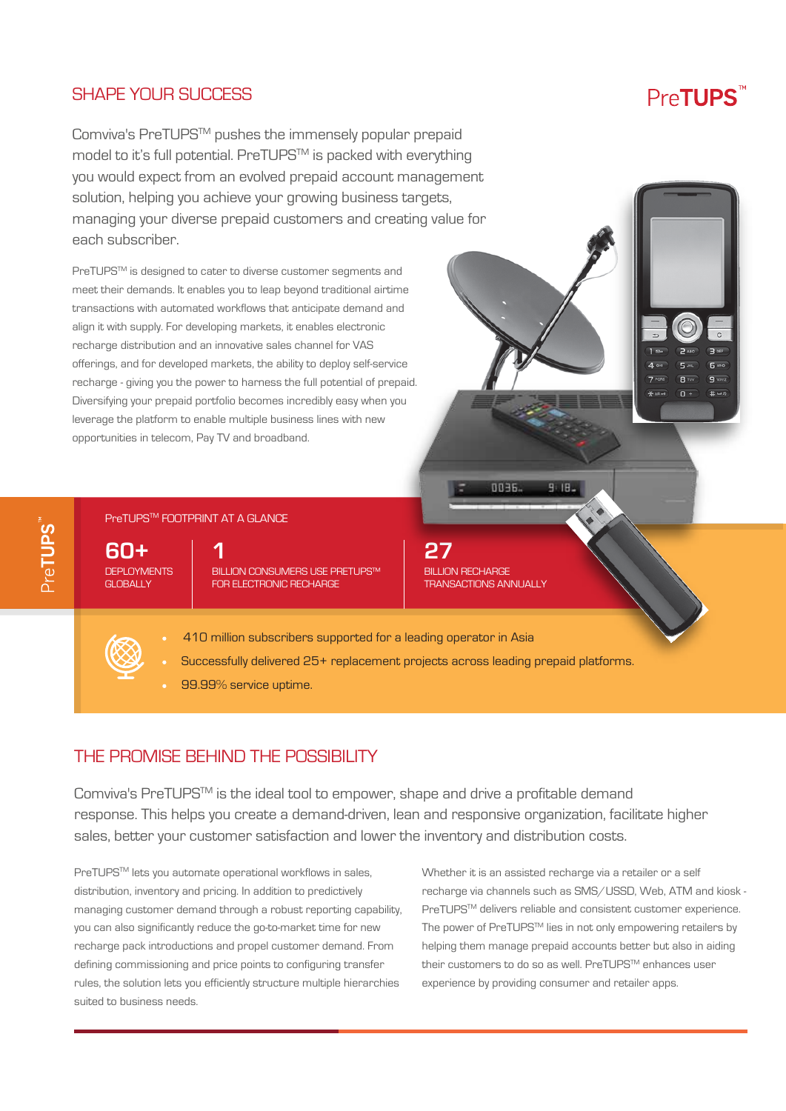## SHAPE YOUR SUCCESS

## Pre**TUPS**

6<sub>wc</sub>

 $\overline{q}$  was

 $#$ 

 $R_{I}$ 

 $\overline{0}$ 

Comviva's PreTUPSTM pushes the immensely popular prepaid model to it's full potential. PreTUPS™ is packed with everything you would expect from an evolved prepaid account management solution, helping you achieve your growing business targets, managing your diverse prepaid customers and creating value for each subscriber.

PreTUPSTM is designed to cater to diverse customer segments and meet their demands. It enables you to leap beyond traditional airtime transactions with automated workflows that anticipate demand and align it with supply. For developing markets, it enables electronic recharge distribution and an innovative sales channel for VAS offerings, and for developed markets, the ability to deploy self-service recharge - giving you the power to harness the full potential of prepaid. Diversifying your prepaid portfolio becomes incredibly easy when you leverage the platform to enable multiple business lines with new opportunities in telecom, Pay TV and broadband.

### PreTUPS<sup>™</sup> FOOTPRINT AT A GLANCE

**60+ DEPLOYMENTS** GLOBALLY

**BILLION CONSUMERS USE PRETUPS™** FOR ELECTRONIC RECHARGE **1 27**



**DREF** 

 $9:19$ 

- 410 million subscribers supported for a leading operator in Asia
- Successfully delivered 25+ replacement projects across leading prepaid platforms.
- 99.99% service uptime.

## THE PROMISE BEHIND THE POSSIBILITY

Comviva's PreTUPSTM is the ideal tool to empower, shape and drive a profitable demand response. This helps you create a demand-driven, lean and responsive organization, facilitate higher sales, better your customer satisfaction and lower the inventory and distribution costs.

PreTUPS<sup>™</sup> lets you automate operational workflows in sales, distribution, inventory and pricing. In addition to predictively managing customer demand through a robust reporting capability, you can also significantly reduce the go-to-market time for new recharge pack introductions and propel customer demand. From defining commissioning and price points to configuring transfer rules, the solution lets you efficiently structure multiple hierarchies suited to business needs.

Whether it is an assisted recharge via a retailer or a self recharge via channels such as SMS/USSD, Web, ATM and kiosk - PreTUPS™ delivers reliable and consistent customer experience. The power of PreTUPS™ lies in not only empowering retailers by helping them manage prepaid accounts better but also in aiding their customers to do so as well. PreTUPS™ enhances user experience by providing consumer and retailer apps.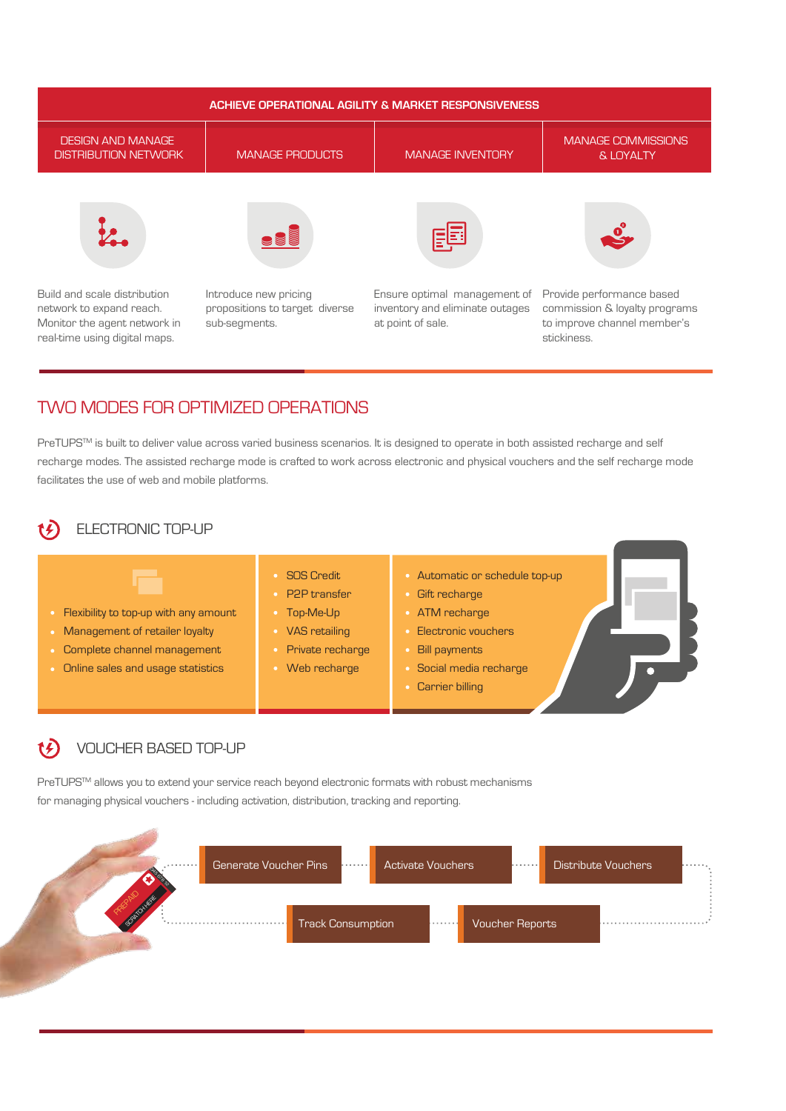

## TWO MODES FOR OPTIMIZED OPERATIONS

PreTUPS™ is built to deliver value across varied business scenarios. It is designed to operate in both assisted recharge and self recharge modes. The assisted recharge mode is crafted to work across electronic and physical vouchers and the self recharge mode facilitates the use of web and mobile platforms.

## ELECTRONIC TOP-UP



- Web recharge
- Automatic or schedule top-up
- Gift recharge
- **ATM** recharge
- Electronic vouchers
- Bill payments
- Social media recharge
- **Carrier billing**

#### VOUCHER BASED TOP-UP t£

PreTUPS<sup>TM</sup> allows you to extend your service reach beyond electronic formats with robust mechanisms for managing physical vouchers - including activation, distribution, tracking and reporting.